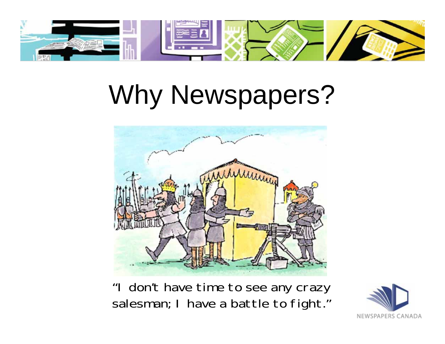

# Why Newspapers?



"I don't have time to see any crazy salesman; I have a battle to fight."

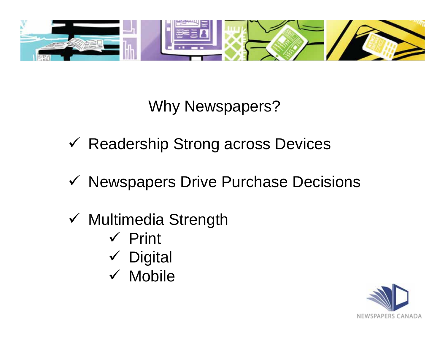

Why Newspapers?

- Readership Strong across Devices
- ✔ Newspapers Drive Purchase Decisions
- Multimedia Strength
	- $\checkmark$  Print
	- Digital
	- $\times$  Mobile

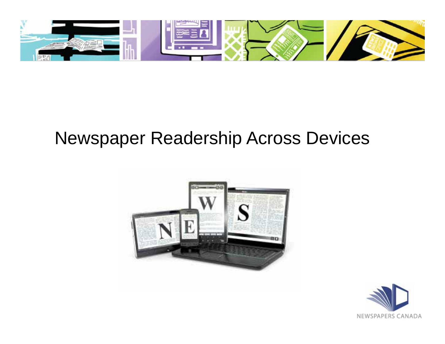

## Newspaper Readership Across Devices



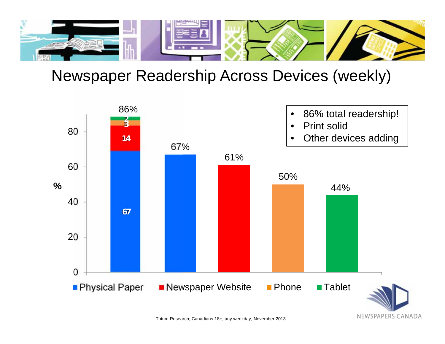

#### Newspaper Readership Across Devices (weekly)

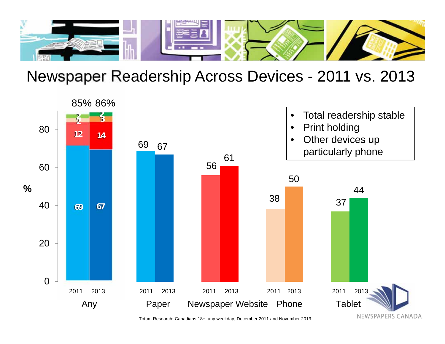

#### Newspaper Readership Across Devices - 2011 vs. 2013



Totum Research; Canadians 18+, any weekday, December 2011 and November 2013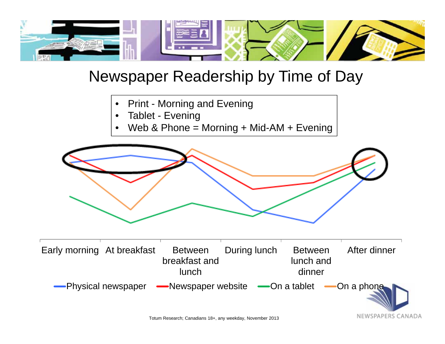

#### Newspaper Readership by Time of Day

- •Print - Morning and Evening
- •Tablet - Evening
- •Web & Phone = Morning + Mid-AM + Evening



NEWSPAPERS CANADA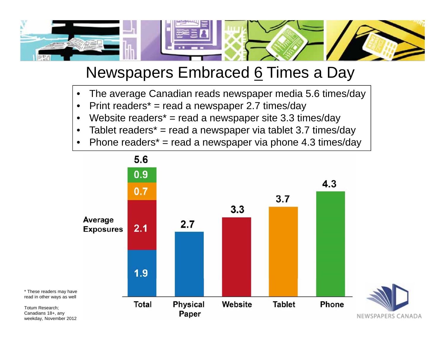

#### Newspapers Embraced 6 Times a Day

- •The average Canadian reads newspaper media 5.6 times/day
- •Print readers\* = read a newspaper 2.7 times/day

Totum Research; Canadians 18+, any

- •Website readers\* = read a newspaper site 3.3 times/day
- •Tablet readers\* = read a newspaper via tablet 3.7 times/day
- •Phone readers\* = read a newspaper via phone 4.3 times/day

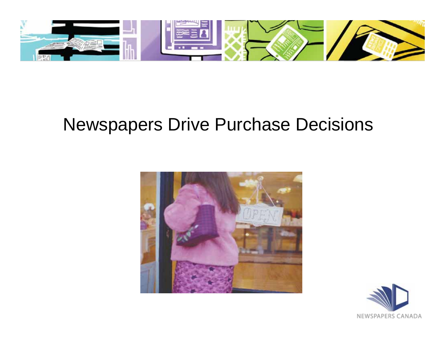

## Newspapers Drive Purchase Decisions



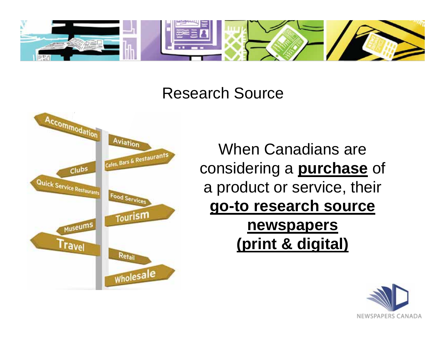

#### Research Source



When Canadians are considering a **purchase** of a product or service, their **go-to research source newspapers (print & digital)**

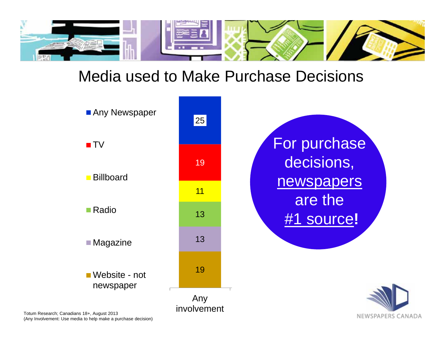

#### Media used to Make Purchase Decisions



Totum Research; Canadians 18+, August 2013 (Any Involvement: Use media to help make a purchase decision)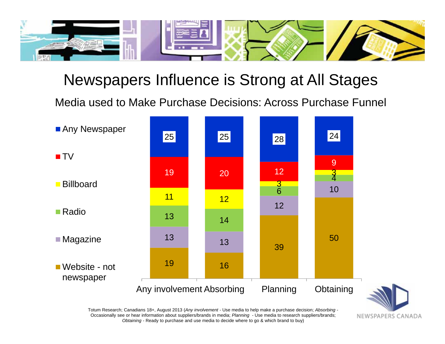

#### Newspapers Influence is Strong at All Stages

Media used to Make Purchase Decisions: Across Purchase Funnel



Totum Research; Canadians 18+, August 2013 (*Any involvement* - Use media to help make a purchase decision; *Absorbing* - Occasionally see or hear information about suppliers/brands in media; *Planning* - Use media to research suppliers/brands; *Obtaining* - Ready to purchase and use media to decide where to go & which brand to buy)

NEWSPAPERS CANADA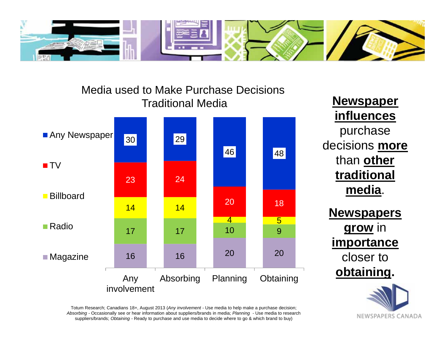



**Newspaper influences** purchase decisions **more**  than **other traditional media**.

**Newspapers grow** in **importance** closer to **obtaining.**



Totum Research; Canadians 18+, August 2013 (*Any involvement* - Use media to help make a purchase decision; *Absorbing* - Occasionally see or hear information about suppliers/brands in media; *Planning* - Use media to research suppliers/brands; *Obtaining* - Ready to purchase and use media to decide where to go & which brand to buy)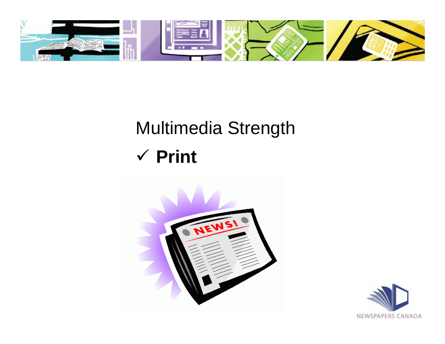

# Multimedia Strength

## **Print**



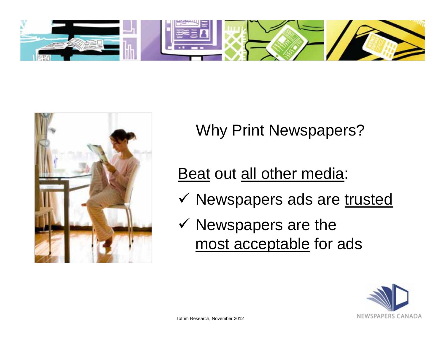



Why Print Newspapers?

Beat out all other media:

- V Newspapers ads are trusted
- $\checkmark$  Newspapers are the most acceptable for ads

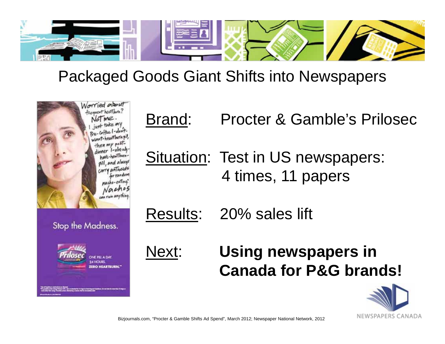

#### Packaged Goods Giant Shifts into Newspapers



# Brand: Procter & Gamble's Prilosec

Situation: Test in US newspapers: 4 times, 11 papers

Results: 20% sales lift

### Next: **Using newspapers in Canada for P&G brands!**



Bizjournals.com, "Procter & Gamble Shifts Ad Spend", March 2012; Newspaper National Network, 2012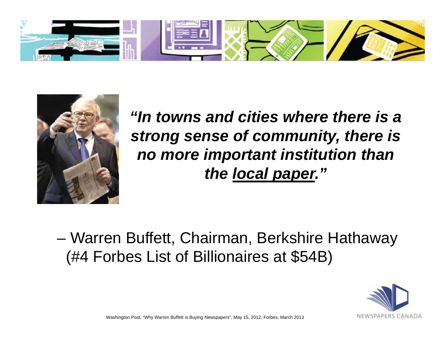



*"In towns and cities where there is a strong sense of community, there is no more important institution than the local paper."* 

– Warren Buffett, Chairman, Berkshire Hathaway (#4 Forbes List of Billionaires at \$54B)



Washington Post, "Why Warren Buffett is Buying Newspapers", May 15, 2012; Forbes, March 2013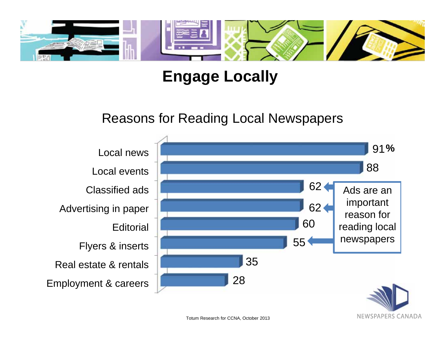

### **Engage Locally**

#### Reasons for Reading Local Newspapers



Totum Research for CCNA, October 2013

NEWSPAPERS CANADA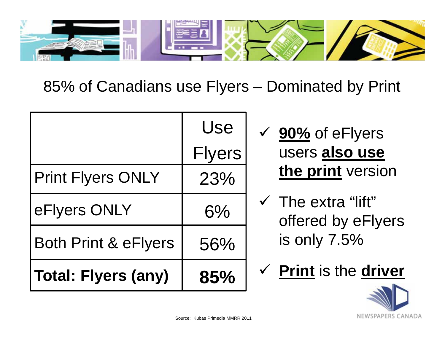

85% of Canadians use Flyers – Dominated by Print

|                                 | Use           |
|---------------------------------|---------------|
|                                 | <b>Flyers</b> |
| <b>Print Flyers ONLY</b>        | 23%           |
| eFlyers ONLY                    | 6%            |
| <b>Both Print &amp; eFlyers</b> | 56%           |
| <b>Total: Flyers (any)</b>      | 85%           |

- **90%** of eFlyers users **also use the print** version
- $\checkmark$  The extra "lift" offered by eFlyers is only 7.5%
- **Print** is the **driver**

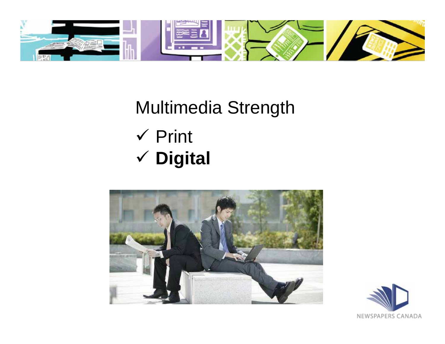

# Multimedia Strength  $\checkmark$  Print **Digital**



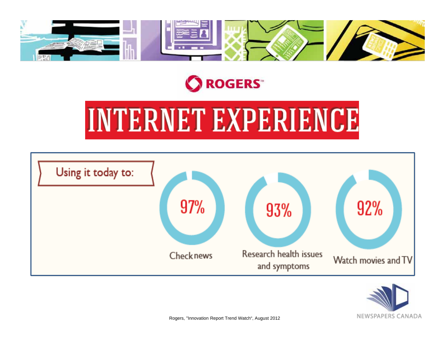



# **INTERNET EXPERIENCE**



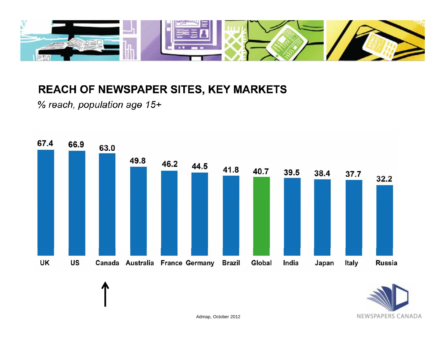

#### REACH OF NEWSPAPER SITES, KEY MARKETS

% reach, population age 15+



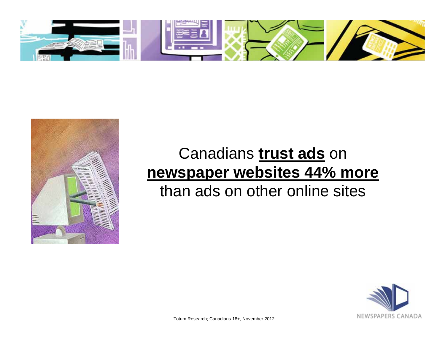



#### Canadians **trust ads** on **newspaper websites 44% more** than ads on other online sites



Totum Research; Canadians 18+, November 2012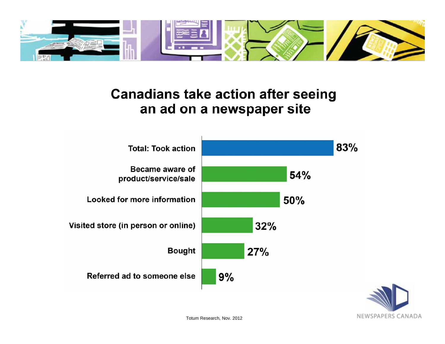

#### **Canadians take action after seeing** an ad on a newspaper site



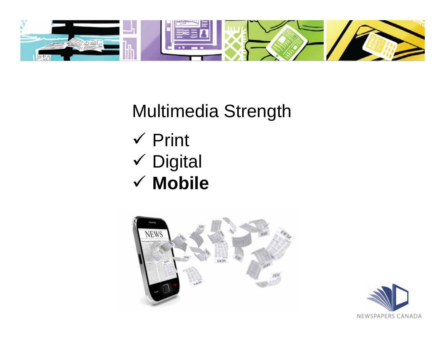

Multimedia Strength  $\checkmark$  Print Digital **Mobile**



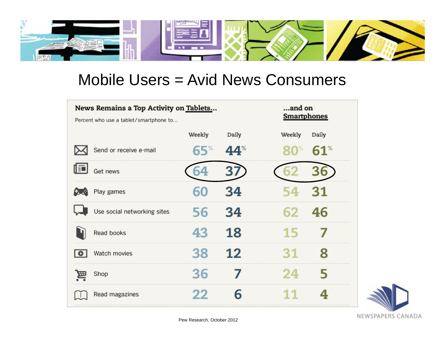

#### Mobile Users = Avid News Consumers

|     | News Remains a Top Activity on Tablets<br>Percent who use a tablet/smartphone to | and on<br>Smartphones |       |                                |
|-----|----------------------------------------------------------------------------------|-----------------------|-------|--------------------------------|
|     |                                                                                  | Weekly                | Daily | Daily<br>Weekly                |
|     | Send or receive e-mail                                                           | 65%                   | 44    | $61^{\circ}$<br>$\mathbf{C}^*$ |
| 止   | Get news                                                                         |                       |       |                                |
|     | Play games                                                                       | 60                    | 34    | 31<br>54                       |
|     | Use social networking sites                                                      | 56                    | 34    | 46<br>62                       |
|     | Read books                                                                       | 43                    | 18    | 7<br>15                        |
| IO. | Watch movies                                                                     | 38                    | 12    | 8<br>31                        |
| 囩   | Shop                                                                             | 36                    |       | 5<br>24                        |
|     | Read magazines                                                                   | 22                    | 6     | 4<br>11                        |

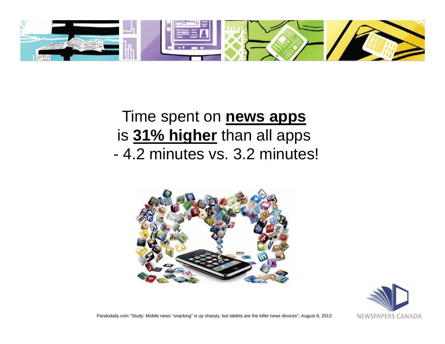

### Time spent on **news apps**  is **31% higher** than all apps - 4.2 minutes vs. 3.2 minutes!





Pandodaily.com "Study: Mobile news "snacking" is up sharply, but tablets are the killer news devices", August 8, 2013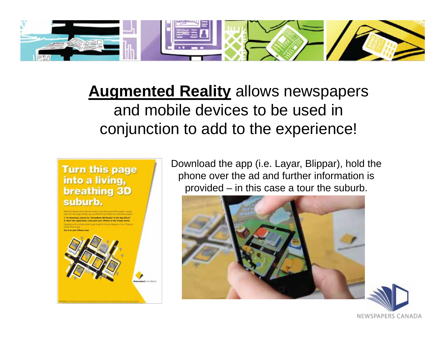

**Augmented Reality** allows newspapers and mobile devices to be used in conjunction to add to the experience!

#### **Turn this page** into a living, **breathing 3D** suburb.



Download the app (i.e. Layar, Blippar), hold the phone over the ad and further information is provided – in this case a tour the suburb.



NEWSPAPERS CANADA